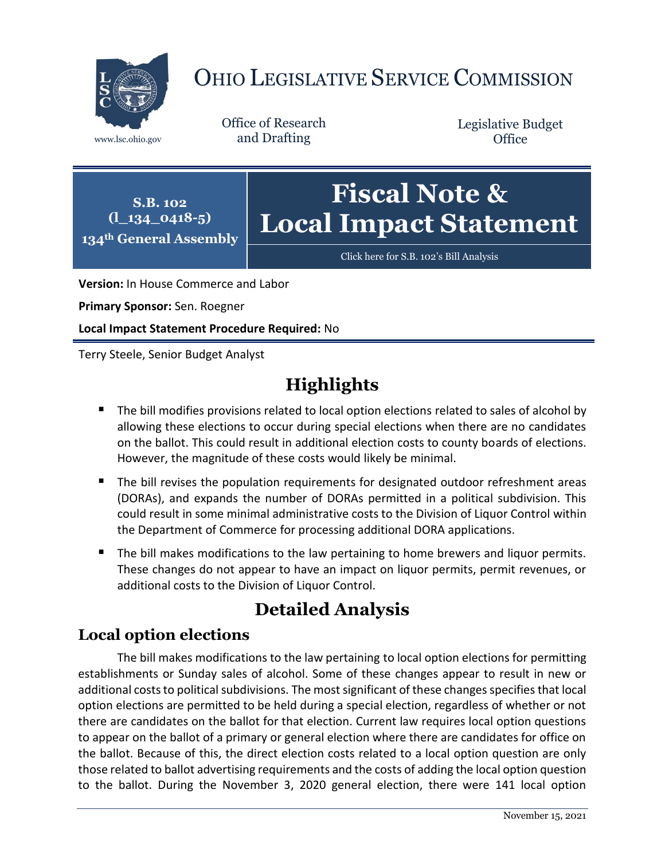

# OHIO LEGISLATIVE SERVICE COMMISSION

Office of Research www.lsc.ohio.gov and Drafting

Legislative Budget **Office** 

**S.B. 102 (l\_134\_0418-5) 134th General Assembly**

# **Fiscal Note & Local Impact Statement**

[Click here for S.B. 102](https://www.legislature.ohio.gov/legislation/legislation-documents?id=GA134-SB-102)'s Bill Analysis

**Version:** In House Commerce and Labor

**Primary Sponsor:** Sen. Roegner

**Local Impact Statement Procedure Required:** No

Terry Steele, Senior Budget Analyst

## **Highlights**

- The bill modifies provisions related to local option elections related to sales of alcohol by allowing these elections to occur during special elections when there are no candidates on the ballot. This could result in additional election costs to county boards of elections. However, the magnitude of these costs would likely be minimal.
- The bill revises the population requirements for designated outdoor refreshment areas (DORAs), and expands the number of DORAs permitted in a political subdivision. This could result in some minimal administrative costs to the Division of Liquor Control within the Department of Commerce for processing additional DORA applications.
- The bill makes modifications to the law pertaining to home brewers and liquor permits. These changes do not appear to have an impact on liquor permits, permit revenues, or additional costs to the Division of Liquor Control.

### **Detailed Analysis**

#### **Local option elections**

The bill makes modifications to the law pertaining to local option elections for permitting establishments or Sunday sales of alcohol. Some of these changes appear to result in new or additional costs to political subdivisions. The most significant of these changes specifies that local option elections are permitted to be held during a special election, regardless of whether or not there are candidates on the ballot for that election. Current law requires local option questions to appear on the ballot of a primary or general election where there are candidates for office on the ballot. Because of this, the direct election costs related to a local option question are only those related to ballot advertising requirements and the costs of adding the local option question to the ballot. During the November 3, 2020 general election, there were 141 local option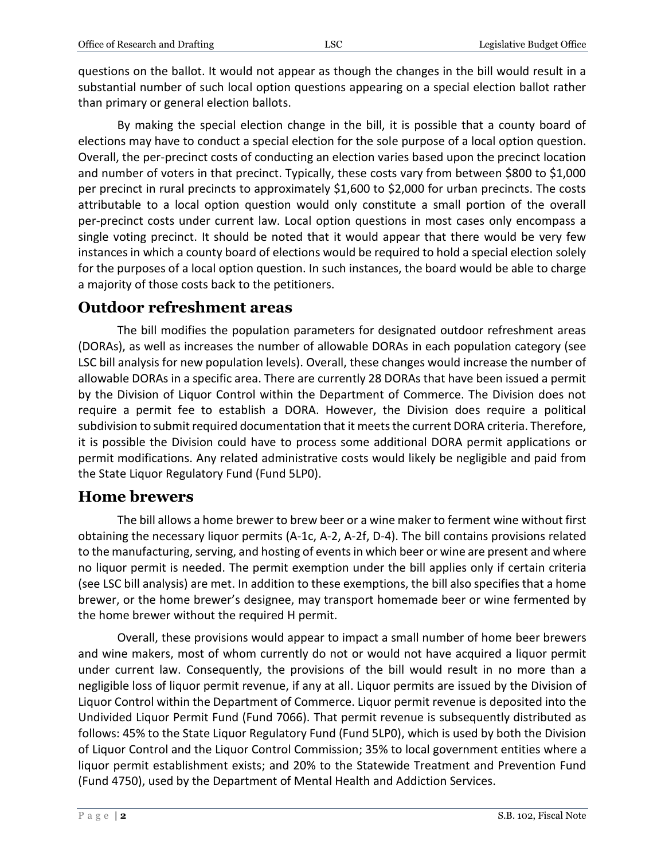questions on the ballot. It would not appear as though the changes in the bill would result in a substantial number of such local option questions appearing on a special election ballot rather than primary or general election ballots.

By making the special election change in the bill, it is possible that a county board of elections may have to conduct a special election for the sole purpose of a local option question. Overall, the per-precinct costs of conducting an election varies based upon the precinct location and number of voters in that precinct. Typically, these costs vary from between \$800 to \$1,000 per precinct in rural precincts to approximately \$1,600 to \$2,000 for urban precincts. The costs attributable to a local option question would only constitute a small portion of the overall per-precinct costs under current law. Local option questions in most cases only encompass a single voting precinct. It should be noted that it would appear that there would be very few instances in which a county board of elections would be required to hold a special election solely for the purposes of a local option question. In such instances, the board would be able to charge a majority of those costs back to the petitioners.

#### **Outdoor refreshment areas**

The bill modifies the population parameters for designated outdoor refreshment areas (DORAs), as well as increases the number of allowable DORAs in each population category (see LSC bill analysis for new population levels). Overall, these changes would increase the number of allowable DORAs in a specific area. There are currently 28 DORAs that have been issued a permit by the Division of Liquor Control within the Department of Commerce. The Division does not require a permit fee to establish a DORA. However, the Division does require a political subdivision to submit required documentation that it meets the current DORA criteria. Therefore, it is possible the Division could have to process some additional DORA permit applications or permit modifications. Any related administrative costs would likely be negligible and paid from the State Liquor Regulatory Fund (Fund 5LP0).

#### **Home brewers**

The bill allows a home brewer to brew beer or a wine maker to ferment wine without first obtaining the necessary liquor permits (A-1c, A-2, A-2f, D-4). The bill contains provisions related to the manufacturing, serving, and hosting of events in which beer or wine are present and where no liquor permit is needed. The permit exemption under the bill applies only if certain criteria (see LSC bill analysis) are met. In addition to these exemptions, the bill also specifies that a home brewer, or the home brewer's designee, may transport homemade beer or wine fermented by the home brewer without the required H permit.

Overall, these provisions would appear to impact a small number of home beer brewers and wine makers, most of whom currently do not or would not have acquired a liquor permit under current law. Consequently, the provisions of the bill would result in no more than a negligible loss of liquor permit revenue, if any at all. Liquor permits are issued by the Division of Liquor Control within the Department of Commerce. Liquor permit revenue is deposited into the Undivided Liquor Permit Fund (Fund 7066). That permit revenue is subsequently distributed as follows: 45% to the State Liquor Regulatory Fund (Fund 5LP0), which is used by both the Division of Liquor Control and the Liquor Control Commission; 35% to local government entities where a liquor permit establishment exists; and 20% to the Statewide Treatment and Prevention Fund (Fund 4750), used by the Department of Mental Health and Addiction Services.